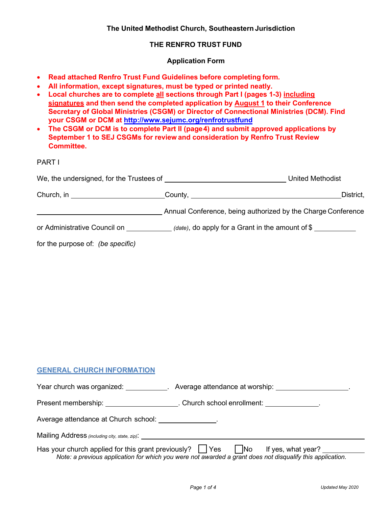### **The United Methodist Church, Southeastern Jurisdiction**

### **THE RENFRO TRUST FUND**

#### **Application Form**

- **Read attached Renfro Trust Fund Guidelines before completing form.**
- **All information, except signatures, must be typed or printed neatly.**
- **Local churches are to complete all sections through Part I (pages 1-3) including signatures and then send the completed application by August 1 to their Conference Secretary of Global Ministries (CSGM) or Director of Connectional Ministries (DCM). Find your CSGM or DCM at<http://www.sejumc.org/renfrotrustfund>**
- **The CSGM or DCM is to complete Part II (page4) and submit approved applications by September 1 to SEJ CSGMs for review and consideration by Renfro Trust Review Committee.**

## PART I

|                                       | <b>United Methodist</b>                                      |
|---------------------------------------|--------------------------------------------------------------|
| Church, in __________________________ | District,                                                    |
|                                       | Annual Conference, being authorized by the Charge Conference |
| or Administrative Council on          | (date), do apply for a Grant in the amount of $\frac{1}{2}$  |
| for the purpose of: (be specific)     |                                                              |

## **GENERAL CHURCH INFORMATION**

|                                                               | Year church was organized: Average attendance at worship:                                                                                  |
|---------------------------------------------------------------|--------------------------------------------------------------------------------------------------------------------------------------------|
|                                                               | Present membership: ________________________. Church school enrollment: ______________.                                                    |
| Average attendance at Church school:                          |                                                                                                                                            |
| Mailing Address (including city, state, zip): ___________     |                                                                                                                                            |
| Has your church applied for this grant previously? $\Box$ Yes | $\vert$ No If yes, what year?<br>Note: a previous application for which you were not awarded a grant does not disqualify this application. |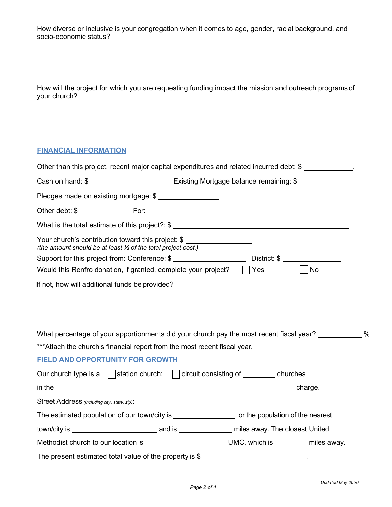How diverse or inclusive is your congregation when it comes to age, gender, racial background, and socio-economic status?

How will the project for which you are requesting funding impact the mission and outreach programsof your church?

# **FINANCIAL INFORMATION**

| Other than this project, recent major capital expenditures and related incurred debt: \$                                       |  |     |                    |  |
|--------------------------------------------------------------------------------------------------------------------------------|--|-----|--------------------|--|
| Cash on hand: \$ ______________________________ Existing Mortgage balance remaining: \$ ______________                         |  |     |                    |  |
| Pledges made on existing mortgage: \$                                                                                          |  |     |                    |  |
|                                                                                                                                |  |     |                    |  |
| What is the total estimate of this project?: \$                                                                                |  |     |                    |  |
| Your church's contribution toward this project: \$<br>(the amount should be at least $\frac{1}{2}$ of the total project cost.) |  |     |                    |  |
|                                                                                                                                |  |     |                    |  |
| Would this Renfro donation, if granted, complete your project?                                                                 |  | Yes | $\vert$ $\vert$ No |  |
| What percentage of your apportionments did your church pay the most recent fiscal year?                                        |  |     |                    |  |
| *** Attach the church's financial report from the most recent fiscal year.                                                     |  |     |                    |  |
| <b>FIELD AND OPPORTUNITY FOR GROWTH</b>                                                                                        |  |     |                    |  |
| Our church type is a $\bigcap$ station church; $\bigcap$ circuit consisting of __________ churches                             |  |     |                    |  |
|                                                                                                                                |  |     |                    |  |
|                                                                                                                                |  |     |                    |  |
| The estimated population of our town/city is __________________, or the population of the nearest                              |  |     |                    |  |
|                                                                                                                                |  |     |                    |  |
| Methodist church to our location is ____________________________UMC, which is _________ miles away.                            |  |     |                    |  |
| The present estimated total value of the property is \$                                                                        |  |     |                    |  |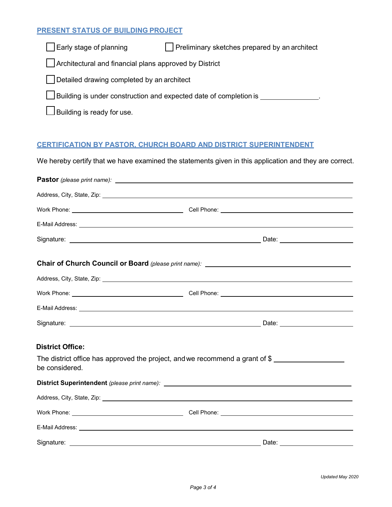### **PRESENT STATUS OF BUILDING PROJECT**

Early stage of planning **Preliminary sketches prepared by an architect** 

Architectural and financial plans approved by District

Detailed drawing completed by an architect

Building is under construction and expected date of completion is

 $\Box$  Building is ready for use.

## **CERTIFICATION BY PASTOR, CHURCH BOARD AND DISTRICT SUPERINTENDENT**

We hereby certify that we have examined the statements given in this application and they are correct.

| Pastor (please print name):<br>and the manufactured continues and the manufactured continues and the manufactured continues are the manufactured continues and the manufactured continues are not at the manufactured continues |                                                                                                                                                                                                                                      |
|---------------------------------------------------------------------------------------------------------------------------------------------------------------------------------------------------------------------------------|--------------------------------------------------------------------------------------------------------------------------------------------------------------------------------------------------------------------------------------|
|                                                                                                                                                                                                                                 | Address, City, State, Zip: 2008. 2009. 2009. 2009. 2012. 2013. 2014. 2015. 2016. 2017. 2018. 2019. 2016. 2017                                                                                                                        |
|                                                                                                                                                                                                                                 |                                                                                                                                                                                                                                      |
|                                                                                                                                                                                                                                 |                                                                                                                                                                                                                                      |
|                                                                                                                                                                                                                                 |                                                                                                                                                                                                                                      |
|                                                                                                                                                                                                                                 | Chair of Church Council or Board (please print name): ___________________________                                                                                                                                                    |
|                                                                                                                                                                                                                                 | Address, City, State, Zip: 1986. The Contract of the Contract of the Contract of the Contract of the Contract of the Contract of the Contract of the Contract of the Contract of the Contract of the Contract of the Contract        |
|                                                                                                                                                                                                                                 | Work Phone: <u>New York Phone:</u> Cell Phone: New York Phone: New York Phone: New York Phone: New York Phone: New York Phone: New York Phone: New York Phone: New York Phone: New York Phone: New York Phone: New York Phone: New   |
|                                                                                                                                                                                                                                 | E-Mail Address: <u>Quarteria and the contract of the contract of the contract of the contract of the contract of the contract of the contract of the contract of the contract of the contract of the contract of the contract of</u> |
|                                                                                                                                                                                                                                 |                                                                                                                                                                                                                                      |
| <b>District Office:</b>                                                                                                                                                                                                         |                                                                                                                                                                                                                                      |
| be considered.                                                                                                                                                                                                                  | The district office has approved the project, and we recommend a grant of \$                                                                                                                                                         |
|                                                                                                                                                                                                                                 |                                                                                                                                                                                                                                      |
|                                                                                                                                                                                                                                 | Address, City, State, Zip: 2008. Address and Contract Contract of the Contract Contract Contract Contract Contract Contract Contract Contract Contract Contract Contract Contract Contract Contract Contract Contract Contract       |
|                                                                                                                                                                                                                                 |                                                                                                                                                                                                                                      |
|                                                                                                                                                                                                                                 |                                                                                                                                                                                                                                      |
|                                                                                                                                                                                                                                 |                                                                                                                                                                                                                                      |